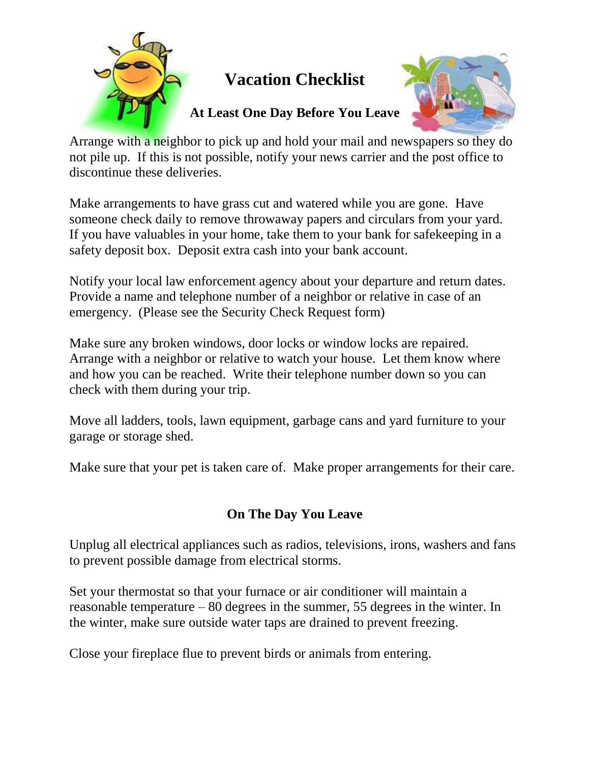

## **Vacation Checklist**

## **At Least One Day Before You Leave**



Arrange with a neighbor to pick up and hold your mail and newspapers so they do not pile up. If this is not possible, notify your news carrier and the post office to discontinue these deliveries.

Make arrangements to have grass cut and watered while you are gone. Have someone check daily to remove throwaway papers and circulars from your yard. If you have valuables in your home, take them to your bank for safekeeping in a safety deposit box. Deposit extra cash into your bank account.

Notify your local law enforcement agency about your departure and return dates. Provide a name and telephone number of a neighbor or relative in case of an emergency. (Please see the Security Check Request form)

Make sure any broken windows, door locks or window locks are repaired. Arrange with a neighbor or relative to watch your house. Let them know where and how you can be reached. Write their telephone number down so you can check with them during your trip.

Move all ladders, tools, lawn equipment, garbage cans and yard furniture to your garage or storage shed.

Make sure that your pet is taken care of. Make proper arrangements for their care.

## **On The Day You Leave**

Unplug all electrical appliances such as radios, televisions, irons, washers and fans to prevent possible damage from electrical storms.

Set your thermostat so that your furnace or air conditioner will maintain a reasonable temperature – 80 degrees in the summer, 55 degrees in the winter. In the winter, make sure outside water taps are drained to prevent freezing.

Close your fireplace flue to prevent birds or animals from entering.